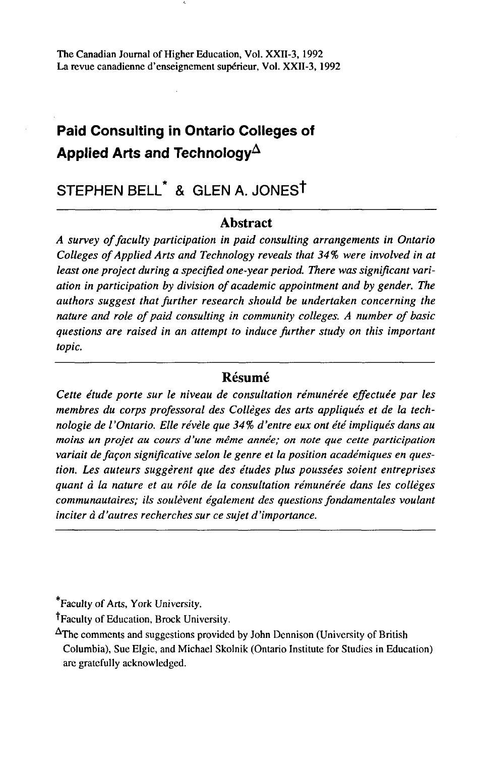# **Paid Consulting in Ontario Colleges of**  Applied Arts and Technology<sup> $\Delta$ </sup>

# STEPHEN BELL\* & GLEN A. JONESt

#### **Abstract**

*A survey of faculty participation in paid consulting arrangements in Ontario Colleges of Applied Arts and Technology reveals that 34% were involved in at least one project during a specified one-year period. There was significant variation in participation by division of academic appointment and by gender. The authors suggest that further research should be undertaken concerning the nature and role of paid consulting in community colleges. A number of basic questions are raised in an attempt to induce further study on this important topic.* 

#### **Résumé**

*Cette étude porte sur le niveau de consultation rémunérée effectuée par les membres du corps professoral des Collèges des arts appliqués et de la technologie de l'Ontario. Elle révèle que 34% d'entre eux ont été impliqués dans au moins un projet au cours d'une même année; on note que cette participation variait de façon significative selon le genre et la position académiques en question. Les auteurs suggèrent que des études plus poussées soient entreprises quant à la nature et au rôle de la consultation rémunérée dans les collèges communautaires; ils soulèvent également des questions fondamentales voulant inciter à d'autres recherches sur ce sujet d'importance.* 

\*Faculty of Arts, York University.

t Faculty of Education, Brock University.

^The comments and suggestions provided by John Dennison (University of British Columbia), Sue Elgie, and Michael Skolnik (Ontario Institute for Studies in Education) are gratefully acknowledged.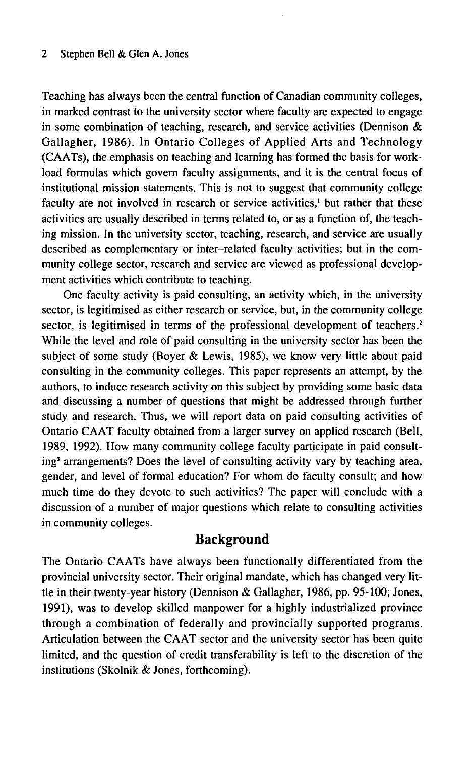#### 2 Stephen Bell & Glen A. Jones

Teaching has always been the central function of Canadian community colleges, in marked contrast to the university sector where faculty are expected to engage in some combination of teaching, research, and service activities (Dennison  $\&$ Gallagher, 1986). In Ontario Colleges of Applied Arts and Technology (CAATs), the emphasis on teaching and learning has formed the basis for workload formulas which govern faculty assignments, and it is the central focus of institutional mission statements. This is not to suggest that community college faculty are not involved in research or service activities,<sup>1</sup> but rather that these activities are usually described in terms related to, or as a function of, the teaching mission. In the university sector, teaching, research, and service are usually described as complementary or inter-related faculty activities; but in the community college sector, research and service are viewed as professional development activities which contribute to teaching.

One faculty activity is paid consulting, an activity which, in the university sector, is legitimised as either research or service, but, in the community college sector, is legitimised in terms of the professional development of teachers.<sup>2</sup> While the level and role of paid consulting in the university sector has been the subject of some study (Boyer & Lewis, 1985), we know very little about paid consulting in the community colleges. This paper represents an attempt, by the authors, to induce research activity on this subject by providing some basic data and discussing a number of questions that might be addressed through further study and research. Thus, we will report data on paid consulting activities of Ontario CAAT faculty obtained from a larger survey on applied research (Bell, 1989, 1992). How many community college faculty participate in paid consulting<sup>3</sup> arrangements? Does the level of consulting activity vary by teaching area, gender, and level of formal education? For whom do faculty consult; and how much time do they devote to such activities? The paper will conclude with a discussion of a number of major questions which relate to consulting activities in community colleges.

## **Background**

The Ontario CAATs have always been functionally differentiated from the provincial university sector. Their original mandate, which has changed very little in their twenty-year history (Dennison & Gallagher, 1986, pp. 95-100; Jones, 1991), was to develop skilled manpower for a highly industrialized province through a combination of federally and provincially supported programs. Articulation between the CAAT sector and the university sector has been quite limited, and the question of credit transferability is left to the discretion of the institutions (Skolnik & Jones, forthcoming).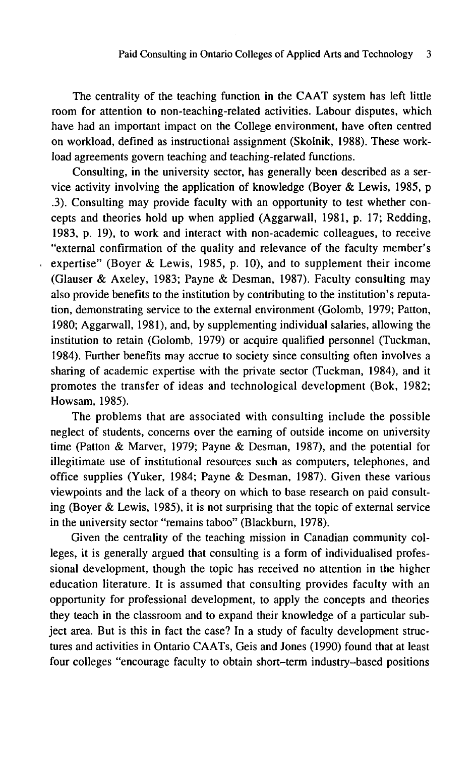The centrality of the teaching function in the CAAT system has left little room for attention to non-teaching-related activities. Labour disputes, which have had an important impact on the College environment, have often centred on workload, defined as instructional assignment (Skolnik, 1988). These workload agreements govern teaching and teaching-related functions.

Consulting, in the university sector, has generally been described as a service activity involving the application of knowledge (Boyer & Lewis, 1985, p .3). Consulting may provide faculty with an opportunity to test whether concepts and theories hold up when applied (Aggarwall, 1981, p. 17; Redding, 1983, p. 19), to work and interact with non-academic colleagues, to receive "external confirmation of the quality and relevance of the faculty member's expertise" (Boyer & Lewis, 1985, p. 10), and to supplement their income (Glauser & Axeley, 1983; Payne & Desman, 1987). Faculty consulting may also provide benefits to the institution by contributing to the institution's reputation, demonstrating service to the external environment (Golomb, 1979; Patton, 1980; Aggarwall, 1981), and, by supplementing individual salaries, allowing the institution to retain (Golomb, 1979) or acquire qualified personnel (Tuckman, 1984). Further benefits may accrue to society since consulting often involves a sharing of academic expertise with the private sector (Tuckman, 1984), and it promotes the transfer of ideas and technological development (Bok, 1982; Howsam, 1985).

The problems that are associated with consulting include the possible neglect of students, concerns over the earning of outside income on university time (Patton & Marver, 1979; Payne & Desman, 1987), and the potential for illegitimate use of institutional resources such as computers, telephones, and office supplies (Yuker, 1984; Payne & Desman, 1987). Given these various viewpoints and the lack of a theory on which to base research on paid consulting (Boyer & Lewis, 1985), it is not surprising that the topic of external service in the university sector "remains taboo" (Blackburn, 1978).

Given the centrality of the teaching mission in Canadian community colleges, it is generally argued that consulting is a form of individualised professional development, though the topic has received no attention in the higher education literature. It is assumed that consulting provides faculty with an opportunity for professional development, to apply the concepts and theories they teach in the classroom and to expand their knowledge of a particular subject area. But is this in fact the case? In a study of faculty development structures and activities in Ontario CAATs, Geis and Jones (1990) found that at least four colleges "encourage faculty to obtain short-term industry-based positions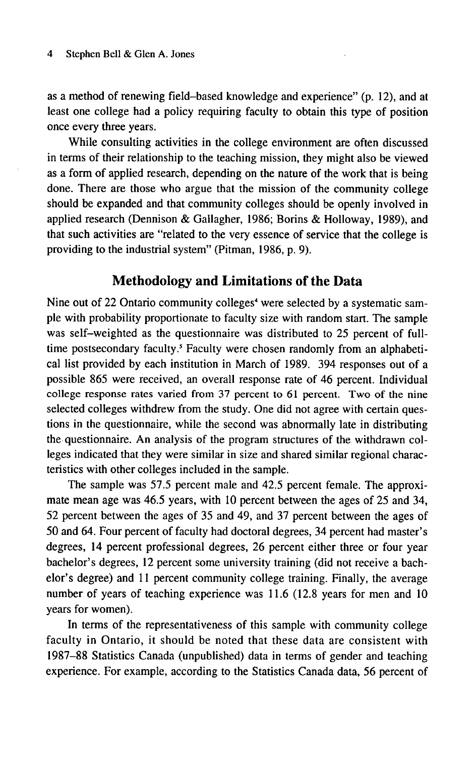as a method of renewing field-based knowledge and experience" (p. 12), and at least one college had a policy requiring faculty to obtain this type of position once every three years.

While consulting activities in the college environment are often discussed in terms of their relationship to the teaching mission, they might also be viewed as a form of applied research, depending on the nature of the work that is being done. There are those who argue that the mission of the community college should be expanded and that community colleges should be openly involved in applied research (Dennison & Gallagher, 1986; Borins & Holloway, 1989), and that such activities are "related to the very essence of service that the college is providing to the industrial system" (Pitman, 1986, p. 9).

## **Methodology and Limitations of the Data**

Nine out of 22 Ontario community colleges<sup>4</sup> were selected by a systematic sample with probability proportionate to faculty size with random start. The sample was self-weighted as the questionnaire was distributed to 25 percent of fulltime postsecondary faculty.<sup>5</sup> Faculty were chosen randomly from an alphabetical list provided by each institution in March of 1989. 394 responses out of a possible 865 were received, an overall response rate of 46 percent. Individual college response rates varied from 37 percent to 61 percent. Two of the nine selected colleges withdrew from the study. One did not agree with certain questions in the questionnaire, while the second was abnormally late in distributing the questionnaire. An analysis of the program structures of the withdrawn colleges indicated that they were similar in size and shared similar regional characteristics with other colleges included in the sample.

The sample was 57.5 percent male and 42.5 percent female. The approximate mean age was 46.5 years, with 10 percent between the ages of 25 and 34, 52 percent between the ages of 35 and 49, and 37 percent between the ages of 50 and 64. Four percent of faculty had doctoral degrees, 34 percent had master's degrees, 14 percent professional degrees, 26 percent either three or four year bachelor's degrees, 12 percent some university training (did not receive a bachelor's degree) and 11 percent community college training. Finally, the average number of years of teaching experience was 11.6 (12.8 years for men and 10 years for women).

In terms of the representativeness of this sample with community college faculty in Ontario, it should be noted that these data are consistent with 1987-88 Statistics Canada (unpublished) data in terms of gender and teaching experience. For example, according to the Statistics Canada data, 56 percent of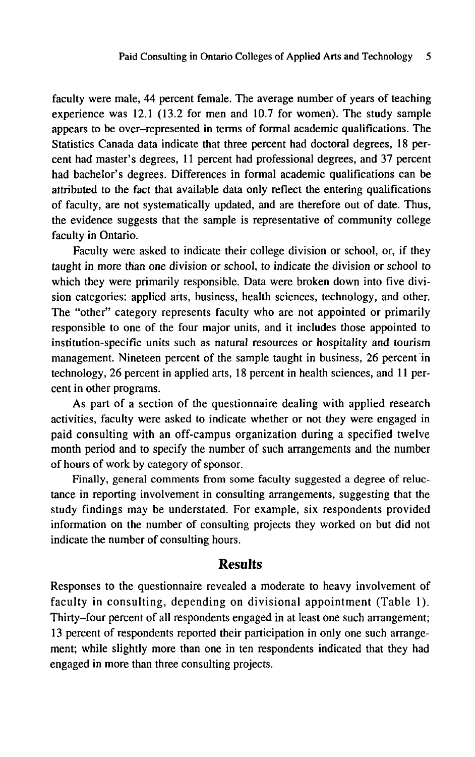faculty were male, 44 percent female. The average number of years of teaching experience was 12.1 (13.2 for men and 10.7 for women). The study sample appears to be over-represented in terms of formal academic qualifications. The Statistics Canada data indicate that three percent had doctoral degrees, 18 percent had master's degrees, 11 percent had professional degrees, and 37 percent had bachelor's degrees. Differences in formal academic qualifications can be attributed to the fact that available data only reflect the entering qualifications of faculty, are not systematically updated, and are therefore out of date. Thus, the evidence suggests that the sample is representative of community college faculty in Ontario.

Faculty were asked to indicate their college division or school, or, if they taught in more than one division or school, to indicate the division or school to which they were primarily responsible. Data were broken down into five division categories: applied arts, business, health sciences, technology, and other. The "other" category represents faculty who are not appointed or primarily responsible to one of the four major units, and it includes those appointed to institution-specific units such as natural resources or hospitality and tourism management. Nineteen percent of the sample taught in business, 26 percent in technology, 26 percent in applied arts, 18 percent in health sciences, and 11 percent in other programs.

As part of a section of the questionnaire dealing with applied research activities, faculty were asked to indicate whether or not they were engaged in paid consulting with an off-campus organization during a specified twelve month period and to specify the number of such arrangements and the number of hours of work by category of sponsor.

Finally, general comments from some faculty suggested a degree of reluctance in reporting involvement in consulting arrangements, suggesting that the study findings may be understated. For example, six respondents provided information on the number of consulting projects they worked on but did not indicate the number of consulting hours.

## **Results**

Responses to the questionnaire revealed a moderate to heavy involvement of faculty in consulting, depending on divisional appointment (Table 1). Thirty-four percent of all respondents engaged in at least one such arrangement; 13 percent of respondents reported their participation in only one such arrangement; while slightly more than one in ten respondents indicated that they had engaged in more than three consulting projects.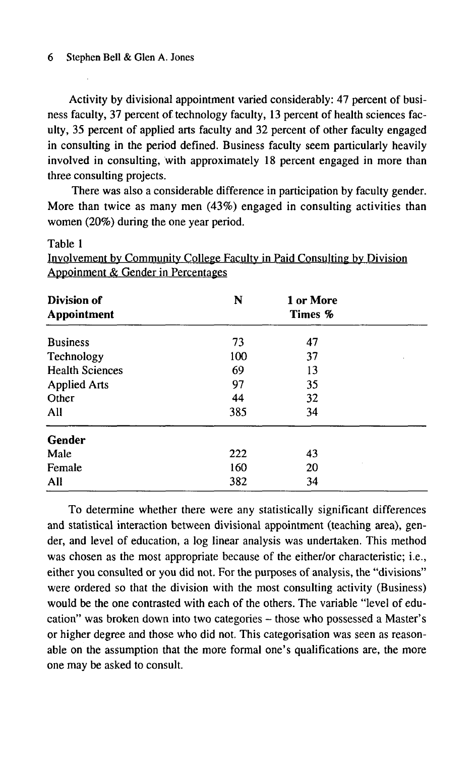#### 6 Stephen Bell & Glen A. Jones

Table 1

Activity by divisional appointment varied considerably: 47 percent of business faculty, 37 percent of technology faculty, 13 percent of health sciences faculty, 35 percent of applied arts faculty and 32 percent of other faculty engaged in consulting in the period defined. Business faculty seem particularly heavily involved in consulting, with approximately 18 percent engaged in more than three consulting projects.

There was also a considerable difference in participation by faculty gender. More than twice as many men (43%) engaged in consulting activities than women (20%) during the one year period.

Involvement bv Community College Faculty in Paid Consulting by Division

**Division of**  N 1 or More **Appointment Times %**  Business 73 47 Technology 100 37 Health Sciences 69 13 Applied Arts 97 35 Other 44 32 All 385 34 **Gender**  Male 222 43 Female 20 All 382 34

To determine whether there were any statistically significant differences and statistical interaction between divisional appointment (teaching area), gender, and level of education, a log linear analysis was undertaken. This method was chosen as the most appropriate because of the either/or characteristic; i.e., either you consulted or you did not. For the purposes of analysis, the "divisions" were ordered so that the division with the most consulting activity (Business) would be the one contrasted with each of the others. The variable "level of education" was broken down into two categories - those who possessed a Master's or higher degree and those who did not. This categorisation was seen as reasonable on the assumption that the more formal one's qualifications are, the more one may be asked to consult.

Appoinment & Gender in Percentages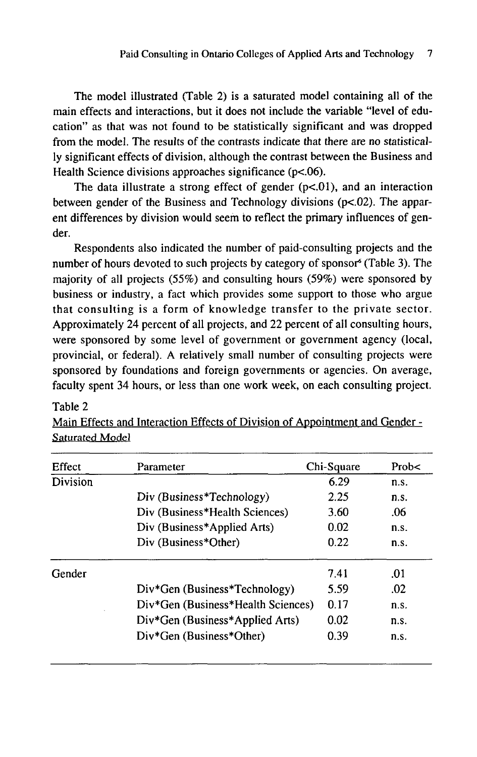The model illustrated (Table 2) is a saturated model containing all of the main effects and interactions, but it does not include the variable "level of education" as that was not found to be statistically significant and was dropped from the model. The results of the contrasts indicate that there are no statistically significant effects of division, although the contrast between the Business and Health Science divisions approaches significance (p<.06).

The data illustrate a strong effect of gender  $(p<.01)$ , and an interaction between gender of the Business and Technology divisions (p<.02). The apparent differences by division would seem to reflect the primary influences of gender.

Respondents also indicated the number of paid-consulting projects and the number of hours devoted to such projects by category of sponsor<sup>6</sup> (Table 3). The majority of all projects (55%) and consulting hours (59%) were sponsored by business or industry, a fact which provides some support to those who argue that consulting is a form of knowledge transfer to the private sector. Approximately 24 percent of all projects, and 22 percent of all consulting hours, were sponsored by some level of government or government agency (local, provincial, or federal). A relatively small number of consulting projects were sponsored by foundations and foreign governments or agencies. On average, faculty spent 34 hours, or less than one work week, on each consulting project.

## Table 2 Main Effects and Interaction Effects of Division of Appointment and Gender - Saturated Model

| Effect   | Parameter                          | Chi-Square | Prob $\lt$ |
|----------|------------------------------------|------------|------------|
| Division |                                    | 6.29       | n.s.       |
|          | Div (Business*Technology)          | 2.25       | n.s.       |
|          | Div (Business*Health Sciences)     | 3.60       | .06        |
|          | Div (Business*Applied Arts)        | 0.02       | n.s.       |
|          | Div (Business*Other)               | 0.22       | n.s.       |
| Gender   |                                    | 7.41       | .01        |
|          | Div*Gen (Business*Technology)      | 5.59       | .02        |
|          | Div*Gen (Business*Health Sciences) | 0.17       | n.s.       |
|          | Div*Gen (Business*Applied Arts)    | 0.02       | n.s.       |
|          | Div*Gen (Business*Other)           | 0.39       | n.s.       |
|          |                                    |            |            |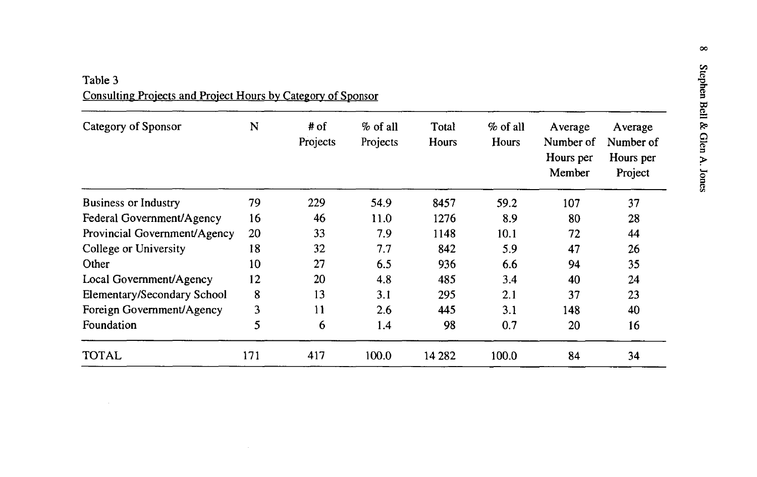Table 3 Consulting Projects and Project Hours by Category of Sponsor

| Category of Sponsor          | $\mathbf N$ | # of<br>Projects | $%$ of all<br>Projects | Total<br>Hours | $\%$ of all<br>Hours | Average<br>Number of<br>Hours per<br>Member | Average<br>Number of<br>Hours per<br>Project |
|------------------------------|-------------|------------------|------------------------|----------------|----------------------|---------------------------------------------|----------------------------------------------|
| <b>Business or Industry</b>  | 79          | 229              | 54.9                   | 8457           | 59.2                 | 107                                         | 37                                           |
| Federal Government/Agency    | 16          | 46               | 11.0                   | 1276           | 8.9                  | 80                                          | 28                                           |
| Provincial Government/Agency | 20          | 33               | 7.9                    | 1148           | 10.1                 | 72                                          | 44                                           |
| College or University        | 18          | 32               | 7.7                    | 842            | 5.9                  | 47                                          | 26                                           |
| Other                        | 10          | 27               | 6.5                    | 936            | 6.6                  | 94                                          | 35                                           |
| Local Government/Agency      | 12          | 20               | 4.8                    | 485            | 3.4                  | 40                                          | 24                                           |
| Elementary/Secondary School  | 8           | 13               | 3.1                    | 295            | 2.1                  | 37                                          | 23                                           |
| Foreign Government/Agency    | 3           | 11               | 2.6                    | 445            | 3.1                  | 148                                         | 40                                           |
| Foundation                   | 5           | 6                | 1.4                    | 98             | 0.7                  | 20                                          | 16                                           |
| <b>TOTAL</b>                 | 171         | 417              | 100.0                  | 14 2 8 2       | 100.0                | 84                                          | 34                                           |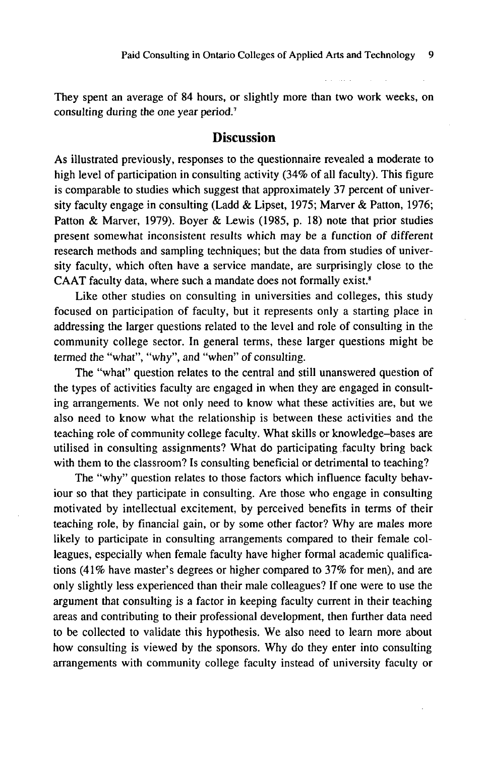They spent an average of 84 hours, or slightly more than two work weeks, on consulting during the one year period.<sup>7</sup>

#### **Discussion**

As illustrated previously, responses to the questionnaire revealed a moderate to high level of participation in consulting activity (34% of all faculty). This figure is comparable to studies which suggest that approximately 37 percent of university faculty engage in consulting (Ladd & Lipset, 1975; Marver & Patton, 1976; Patton & Marver, 1979). Boyer & Lewis (1985, p. 18) note that prior studies present somewhat inconsistent results which may be a function of different research methods and sampling techniques; but the data from studies of university faculty, which often have a service mandate, are surprisingly close to the CAAT faculty data, where such a mandate does not formally exist.<sup>8</sup>

Like other studies on consulting in universities and colleges, this study focused on participation of faculty, but it represents only a starting place in addressing the larger questions related to the level and role of consulting in the community college sector. In general terms, these larger questions might be termed the "what", "why", and "when" of consulting.

The "what" question relates to the central and still unanswered question of the types of activities faculty are engaged in when they are engaged in consulting arrangements. We not only need to know what these activities are, but we also need to know what the relationship is between these activities and the teaching role of community college faculty. What skills or knowledge-bases are utilised in consulting assignments? What do participating faculty bring back with them to the classroom? Is consulting beneficial or detrimental to teaching?

The "why" question relates to those factors which influence faculty behaviour so that they participate in consulting. Are those who engage in consulting motivated by intellectual excitement, by perceived benefits in terms of their teaching role, by financial gain, or by some other factor? Why are males more likely to participate in consulting arrangements compared to their female colleagues, especially when female faculty have higher formal academic qualifications (41% have master's degrees or higher compared to 37% for men), and are only slightly less experienced than their male colleagues? If one were to use the argument that consulting is a factor in keeping faculty current in their teaching areas and contributing to their professional development, then further data need to be collected to validate this hypothesis. We also need to learn more about how consulting is viewed by the sponsors. Why do they enter into consulting arrangements with community college faculty instead of university faculty or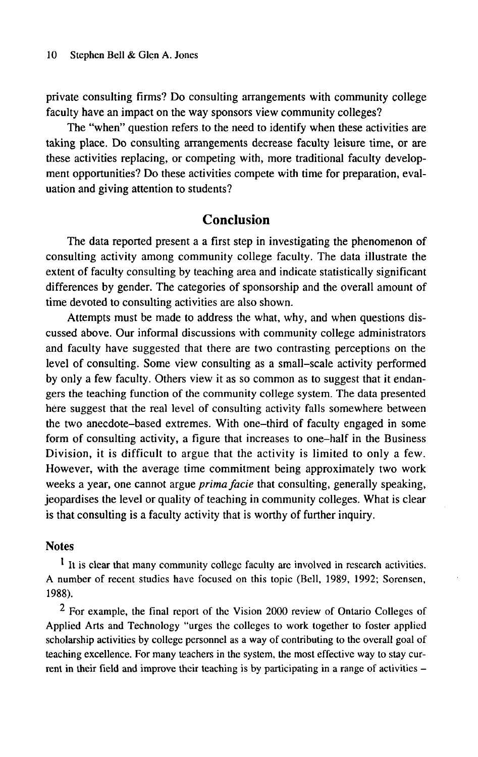private consulting firms? Do consulting arrangements with community college faculty have an impact on the way sponsors view community colleges?

The "when" question refers to the need to identify when these activities are taking place. Do consulting arrangements decrease faculty leisure time, or are these activities replacing, or competing with, more traditional faculty development opportunities? Do these activities compete with time for preparation, evaluation and giving attention to students?

## **Conclusion**

The data reported present a a first step in investigating the phenomenon of consulting activity among community college faculty. The data illustrate the extent of faculty consulting by teaching area and indicate statistically significant differences by gender. The categories of sponsorship and the overall amount of time devoted to consulting activities are also shown.

Attempts must be made to address the what, why, and when questions discussed above. Our informal discussions with community college administrators and faculty have suggested that there are two contrasting perceptions on the level of consulting. Some view consulting as a small-scale activity performed by only a few faculty. Others view it as so common as to suggest that it endangers the teaching function of the community college system. The data presented here suggest that the real level of consulting activity falls somewhere between the two anecdote-based extremes. With one-third of faculty engaged in some form of consulting activity, a figure that increases to one-half in the Business Division, it is difficult to argue that the activity is limited to only a few. However, with the average time commitment being approximately two work weeks a year, one cannot argue *prima facie* that consulting, generally speaking, jeopardises the level or quality of teaching in community colleges. What is clear is that consulting is a faculty activity that is worthy of further inquiry.

#### **Notes**

<sup>1</sup> It is clear that many community college faculty are involved in research activities. A number of recent studies have focused on this topic (Bell, 1989, 1992; Sorensen, 1988).

<sup>2</sup> For example, the final report of the Vision 2000 review of Ontario Colleges of Applied Arts and Technology "urges the colleges to work together to foster applied scholarship activities by college personnel as a way of contributing to the overall goal of teaching excellence. For many teachers in the system, the most effective way to stay current in their field and improve their teaching is by participating in a range of activities -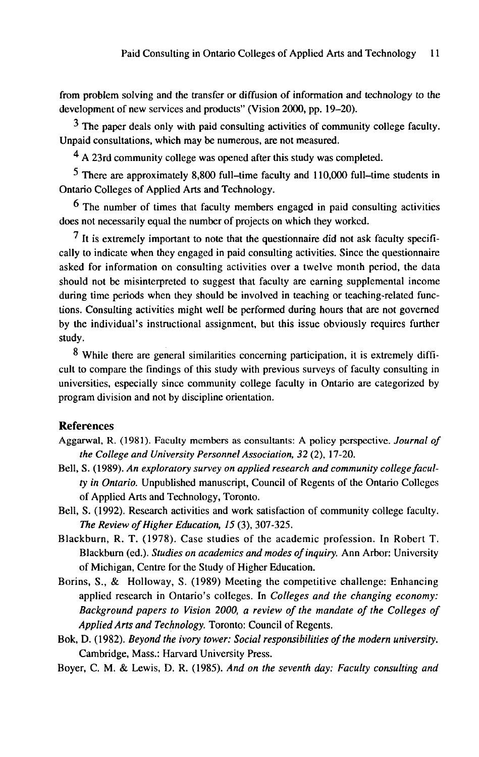from problem solving and the transfer or diffusion of information and technology to the development of new services and products" (Vision 2000, pp. 19-20).

 $3$  The paper deals only with paid consulting activities of community college faculty. Unpaid consultations, which may be numerous, are not measured.

^ A 23rd community college was opened after this study was completed.

 $5$  There are approximately 8,800 full-time faculty and 110,000 full-time students in Ontario Colleges of Applied Arts and Technology.

6 The number of times that faculty members engaged in paid consulting activities does not necessarily equal the number of projects on which they worked.

<sup>7</sup> It is extremely important to note that the questionnaire did not ask faculty specifically to indicate when they engaged in paid consulting activities. Since the questionnaire asked for information on consulting activities over a twelve month period, the data should not be misinterpreted to suggest that faculty are earning supplemental income during time periods when they should be involved in teaching or teaching-related functions. Consulting activities might well be performed during hours that are not governed by the individual's instructional assignment, but this issue obviously requires further study.

8 While there are general similarities concerning participation, it is extremely difficult to compare the findings of this study with previous surveys of faculty consulting in universities, especially since community college faculty in Ontario are categorized by program division and not by discipline orientation.

#### **References**

- **Aggarwal, R. (1981). Faculty members as consultants: A policy perspective.** *Journal of the College and University Personnel Association, 32* (2), 17-20.
- Bell, S. (1989). *An exploratory survey on applied research and community college faculty in Ontario.* Unpublished manuscript, Council of Regents of the Ontario Colleges of Applied Arts and Technology, Toronto.
- Bell, S. (1992). Research activities and work satisfaction of community college faculty. *The Review of Higher Education, 15* (3), 307-325.
- Blackburn, R. T. (1978). Case studies of the academic profession. In Robert T. Blackburn (ed.). *Studies on academics and modes of inquiry.* Ann Arbor: University of Michigan, Centre for the Study of Higher Education.
- Borins, S., & Holloway, S. (1989) Meeting the competitive challenge: Enhancing applied research in Ontario's colleges. In *Colleges and the changing economy: Background papers to Vision 2000, a review of the mandate of the Colleges of Applied Arts and Technology.* Toronto: Council of Regents.
- Bok, D. (1982). *Beyond the ivory tower: Social responsibilities of the modern university.*  Cambridge, Mass.: Harvard University Press.
- Boyer, C. M. & Lewis, D. R. (1985). *And on the seventh day: Faculty consulting and*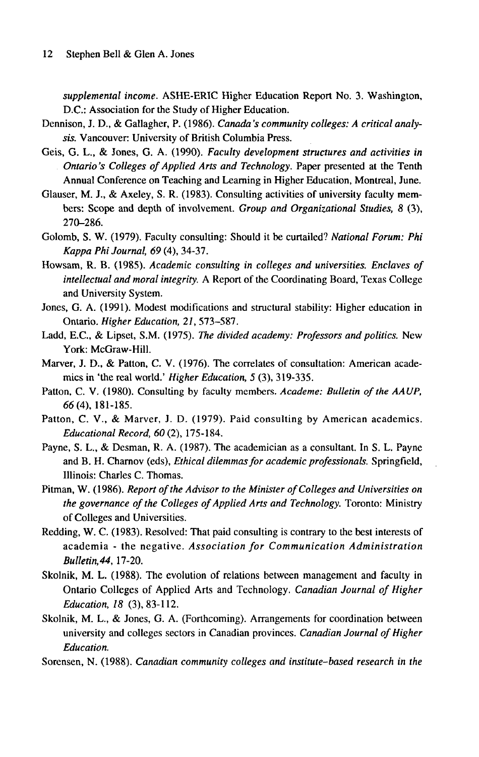*supplemental income.* ASHE-ER1C Higher Education Report No. 3. Washington, D.C.: Association for the Study of Higher Education.

- Dennison, J. D., & Gallagher, P. (1986). *Canada's community colleges: A critical analysis.* Vancouver: University of British Columbia Press.
- Geis, G. L., & Jones, G. A. (1990). *Faculty development structures and activities in Ontario's Colleges of Applied Arts and Technology.* Paper presented at the Tenth Annual Conference on Teaching and Learning in Higher Education, Montreal, June.
- Glauser, M. J., & Axeley, S. R. (1983). Consulting activities of university faculty members: Scope and depth of involvement. *Group and Organizational Studies, 8* (3), 270-286.
- Golomb, S. W. (1979). Faculty consulting: Should it be curtailed? *National Forum: Phi Kappa Phi Journal, 69* (4), 34-37.
- Howsam, R. B. (1985). *Academic consulting in colleges and universities. Enclaves of intellectual and moral integrity.* A Report of the Coordinating Board, Texas College and University System.
- Jones, G. A. (1991). Modest modifications and structural stability: Higher education in Ontario. *Higher Education, 21,* 573-587.
- Ladd, E.C., & Lipset, S.M. (1975). *The divided academy: Professors and politics.* New York: McGraw-Hill.
- Marver, J. D., & Patton, C. V. (1976). The correlates of consultation: American academics in 'the real world.' *Higher Education, 5* (3), 319-335.
- Patton, C. V. (1980). Consulting by faculty members. *Academe: Bulletin of the AAUP,*  66(4), 181-185.
- Patton, C. V., & Marver, J. D. (1979). Paid consulting by American academics. *Educational Record, 60* (2), 175-184.
- Payne, S. L., & Desman, R. A. (1987). The academician as a consultant. In S. L. Payne and B. H. Charnov (eds), *Ethical dilemmas for academic professionals.* Springfield, Illinois: Charles C. Thomas.
- Pitman, W. (1986). *Report of the Advisor to the Minister of Colleges and Universities on the governance of the Colleges of Applied Arts and Technology.* Toronto: Ministry of Colleges and Universities.
- Redding, W. C. (1983). Resolved: That paid consulting is contrary to the best interests of academia - the negative. *Association for Communication Administration Bulletin,44,* 17-20.
- Skolnik, M. L. (1988). The evolution of relations between management and faculty in Ontario Colleges of Applied Arts and Technology. *Canadian Journal of Higher Education, 18* (3), 83-112.
- Skolnik, M. L., & Jones, G. A. (Forthcoming). Arrangements for coordination between university and colleges sectors in Canadian provinces. *Canadian Journal of Higher Education.*

Sorensen, N. (1988). *Canadian community colleges and institute-based research in the*